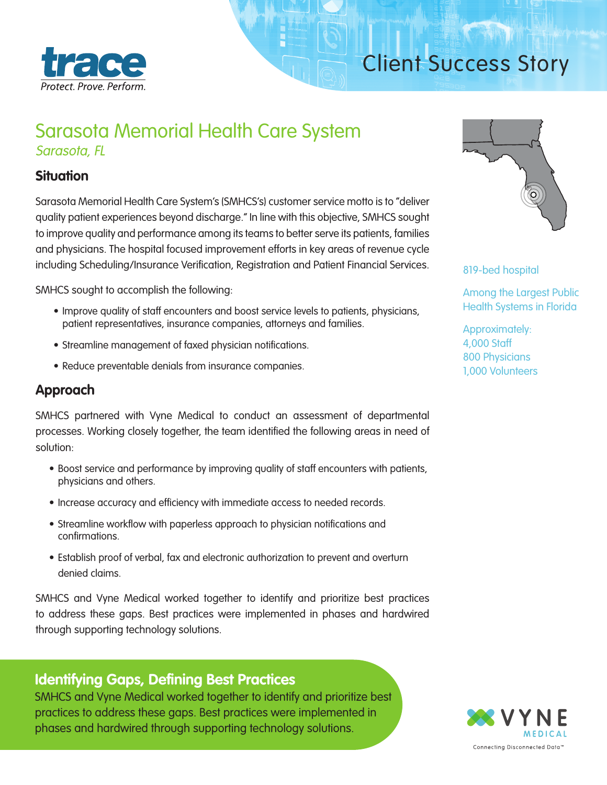

# Client Success Story

## Sarasota Memorial Health Care System Sarasota, FL

#### **Situation**

Sarasota Memorial Health Care System's (SMHCS's) customer service motto is to "deliver quality patient experiences beyond discharge." In line with this objective, SMHCS sought to improve quality and performance among its teams to better serve its patients, families and physicians. The hospital focused improvement efforts in key areas of revenue cycle including Scheduling/Insurance Verification, Registration and Patient Financial Services.

SMHCS sought to accomplish the following:

- Improve quality of staff encounters and boost service levels to patients, physicians, patient representatives, insurance companies, attorneys and families.
- Streamline management of faxed physician notifications.
- Reduce preventable denials from insurance companies.

#### **Approach**

SMHCS partnered with Vyne Medical to conduct an assessment of departmental processes. Working closely together, the team identified the following areas in need of solution:

- Boost service and performance by improving quality of staff encounters with patients, physicians and others.
- Increase accuracy and efficiency with immediate access to needed records.
- Streamline workflow with paperless approach to physician notifications and confirmations.
- Establish proof of verbal, fax and electronic authorization to prevent and overturn denied claims.

SMHCS and Vyne Medical worked together to identify and prioritize best practices to address these gaps. Best practices were implemented in phases and hardwired through supporting technology solutions.

#### **Identifying Gaps, Defining Best Practices**

SMHCS and Vyne Medical worked together to identify and prioritize best practices to address these gaps. Best practices were implemented in phases and hardwired through supporting technology solutions.



819-bed hospital

Among the Largest Public Health Systems in Florida

Approximately: 4,000 Staff 800 Physicians 1,000 Volunteers

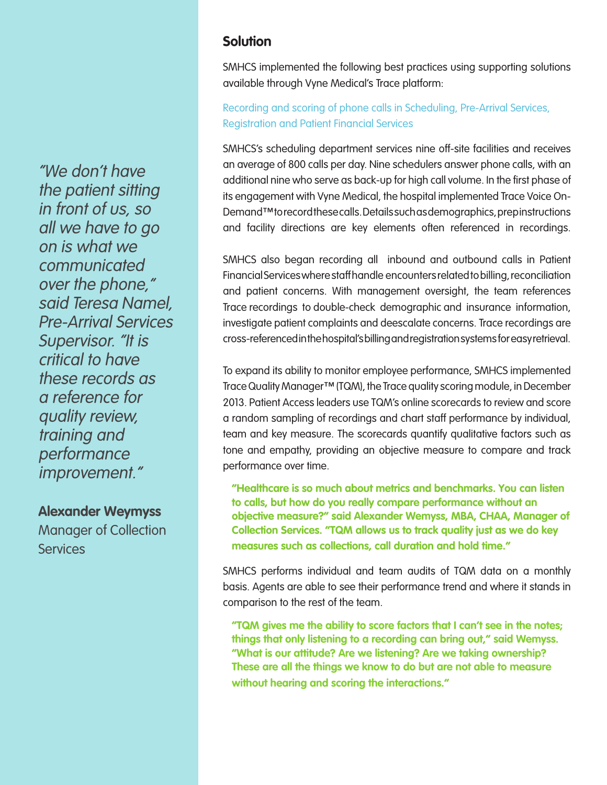"We don't have the patient sitting in front of us, so all we have to go on is what we communicated over the phone," said Teresa Namel, Pre-Arrival Services Supervisor. "It is critical to have these records as a reference for quality review, training and performance improvement."

**Alexander Weymyss** 

Manager of Collection **Services** 

#### **Solution**

SMHCS implemented the following best practices using supporting solutions available through Vyne Medical's Trace platform:

#### Recording and scoring of phone calls in Scheduling, Pre-Arrival Services, Registration and Patient Financial Services

SMHCS's scheduling department services nine off-site facilities and receives an average of 800 calls per day. Nine schedulers answer phone calls, with an additional nine who serve as back-up for high call volume. In the first phase of its engagement with Vyne Medical, the hospital implemented Trace Voice On-Demand™ to record these calls. Details such as demographics, prep instructions and facility directions are key elements often referenced in recordings.

SMHCS also began recording all inbound and outbound calls in Patient Financial Services where staff handle encounters related to billing, reconciliation and patient concerns. With management oversight, the team references Trace recordings to double-check demographic and insurance information, investigate patient complaints and deescalate concerns. Trace recordings are cross-referenced in the hospital's billing and registration systems for easy retrieval.

To expand its ability to monitor employee performance, SMHCS implemented Trace Quality Manager™ (TQM), the Trace quality scoring module, in December 2013. Patient Access leaders use TQM's online scorecards to review and score a random sampling of recordings and chart staff performance by individual, team and key measure. The scorecards quantify qualitative factors such as tone and empathy, providing an objective measure to compare and track performance over time.

**"Healthcare is so much about metrics and benchmarks. You can listen to calls, but how do you really compare performance without an objective measure?" said Alexander Wemyss, MBA, CHAA, Manager of Collection Services. "TQM allows us to track quality just as we do key measures such as collections, call duration and hold time."**

SMHCS performs individual and team audits of TQM data on a monthly basis. Agents are able to see their performance trend and where it stands in comparison to the rest of the team.

**"TQM gives me the ability to score factors that I can't see in the notes; things that only listening to a recording can bring out," said Wemyss. "What is our attitude? Are we listening? Are we taking ownership? These are all the things we know to do but are not able to measure without hearing and scoring the interactions."**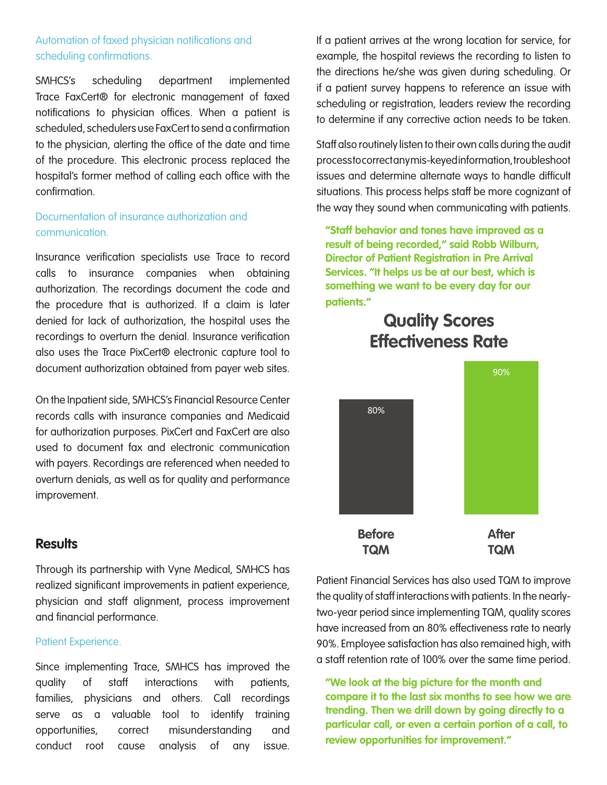#### Automation of faxed physician notifications and scheduling confirmations.

SMHCS's scheduling department implemented Trace FaxCert® for electronic management of faxed notifications to physician offices. When a patient is scheduled, schedulers use FaxCert to send a confirmation to the physician, alerting the office of the date and time of the procedure. This electronic process replaced the hospital's former method of calling each office with the confirmation.

#### Documentation of insurance authorization and communication.

Insurance verification specialists use Trace to record calls to insurance companies when obtaining authorization. The recordings document the code and the procedure that is authorized. If a claim is later denied for lack of authorization, the hospital uses the recordings to overturn the denial. Insurance verification also uses the Trace PixCert® electronic capture tool to document authorization obtained from payer web sites.

On the Inpatient side, SMHCS's Financial Resource Center records calls with insurance companies and Medicaid for authorization purposes. PixCert and FaxCert are also used to document fax and electronic communication with payers. Recordings are referenced when needed to overturn denials, as well as for quality and performance improvement.

#### **Results**

Through its partnership with Vyne Medical, SMHCS has realized significant improvements in patient experience, physician and staff alignment, process improvement and financial performance.

#### Patient Experience.

Since implementing Trace, SMHCS has improved the quality of staff interactions with patients, families, physicians and others. Call recordings serve as a valuable tool to identify training opportunities, correct misunderstanding and conduct root cause analysis of any issue.

If a patient arrives at the wrong location for service, for example, the hospital reviews the recording to listen to the directions he/she was given during scheduling. Or if a patient survey happens to reference an issue with scheduling or registration, leaders review the recording to determine if any corrective action needs to be taken.

Staff also routinely listen to their own calls during the audit process to correct any mis-keyed information, troubleshoot issues and determine alternate ways to handle difficult situations. This process helps staff be more cognizant of the way they sound when communicating with patients.

**"Staff behavior and tones have improved as a result of being recorded," said Robb Wilburn, Director of Patient Registration in Pre Arrival Services. "It helps us be at our best, which is something we want to be every day for our patients."**

### **Quality Scores Effectiveness Rate**



Patient Financial Services has also used TQM to improve the quality of staff interactions with patients. In the nearlytwo-year period since implementing TQM, quality scores have increased from an 80% effectiveness rate to nearly 90%. Employee satisfaction has also remained high, with a staff retention rate of 100% over the same time period.

**"We look at the big picture for the month and compare it to the last six months to see how we are trending. Then we drill down by going directly to a particular call, or even a certain portion of a call, to review opportunities for improvement."**